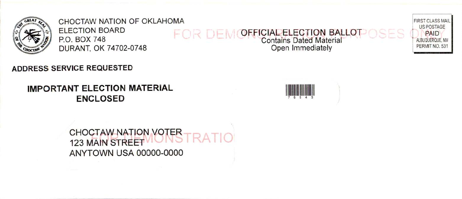

CHOCTAW NATION OF OKLAHOMA FIRST CLASS MAIL AND THE STATE OF STATE OF STATE OF STATE OF STATE OF STATE OF STATE OF STATE OF STATE OF STATE OF STATE OF STATE OF STATE OF STATE OF STATE OF STATE OF STATE OF STATE OF STATE OF DURANT, OK 74702-0748

# ELECTION BOARD FOR DEMOFFICIAL ELECTION BALLOT OSES ON PAID ELECTION BOARD<br>P.O. BOX 748 Contains Dated Material Contains Dated Material Publishers Contains Dated Material PERMIT NO. 531<br>DURANT. OK 74702-0748 Contains Dated Material Commediately



## **IMPORTANT ELECTION MATERIAL ENCLOSED**



US POSTAGE

CHOCTAW NATION VOTER<br>123 MAIN STREET ANYTOWN USA 00000- 0000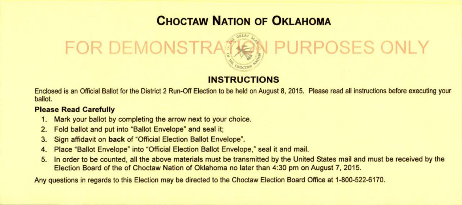# CHOCTAW NATION OF OKLAHOMA

# FOR DEMONSTRATION PURPOSES ONLY

#### INSTRUCTIONS

Enclosed is an Official Ballot for the District 2 Run- Off Election to be held on August 8, 2015. Please read all instructions before executing your ballot.

#### Please Read Carefully

- Mark your ballot by completing the arrow next to your choice.
- 2. Fold ballot and put into "Ballot Envelope" and seal it;
- 3. Sign affidavit on back of "Official Election Ballot Envelope".
- 4. Place "Ballot Envelope" into "Official Election Ballot Envelope," seal it and mail.
- 5. In order to be counted, all the above materials must be transmitted by the United States mail and must be received by the Election Board of the of Choctaw Nation of Oklahoma no later than 4: 30 pm on August 7, 2015.

Any questions in regards to this Election may be directed to the Choctaw Election Board Office at 1-800-522-6170.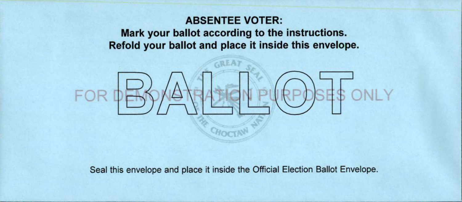### ABSENTEE VOTER:

Mark your ballot according to the instructions. Refold your ballot and place it inside this envelope.



Seal this envelope and place it inside the Official Election Ballot Envelope.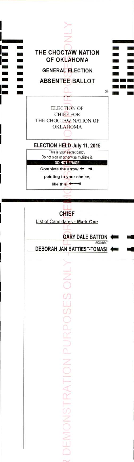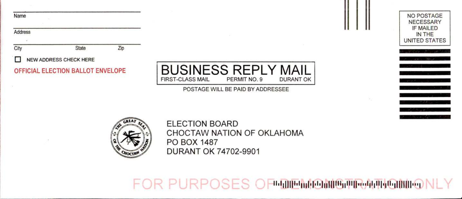| Name                              |                        |     |                                                                                           | <b>NO POSTAGE</b><br><b>NECESSARY</b>       |
|-----------------------------------|------------------------|-----|-------------------------------------------------------------------------------------------|---------------------------------------------|
| Address                           |                        |     |                                                                                           | <b>IF MAILED</b><br>IN THE<br>UNITED STATES |
| City                              | State                  | Zip |                                                                                           |                                             |
|                                   | NEW ADDRESS CHECK HERE |     |                                                                                           |                                             |
| OFFICIAL ELECTION BALLOT ENVELOPE |                        |     | <b>BUSINESS REPLY MAIL</b><br><b>FIRST-CLASS MAIL</b><br>PERMIT NO. 9<br><b>DURANT OK</b> |                                             |
|                                   |                        |     | POSTAGE WILL BE PAID BY ADDRESSEE                                                         |                                             |
|                                   |                        |     |                                                                                           |                                             |



**ELECTION BOARD** CHOCTAW NATION OF OKLAHOMA PO BOX 1487 **DURANT OK 74702-9901** 

FOR PURPOSES OF DEMEMBER PRAIN DIMIONLY

. . .